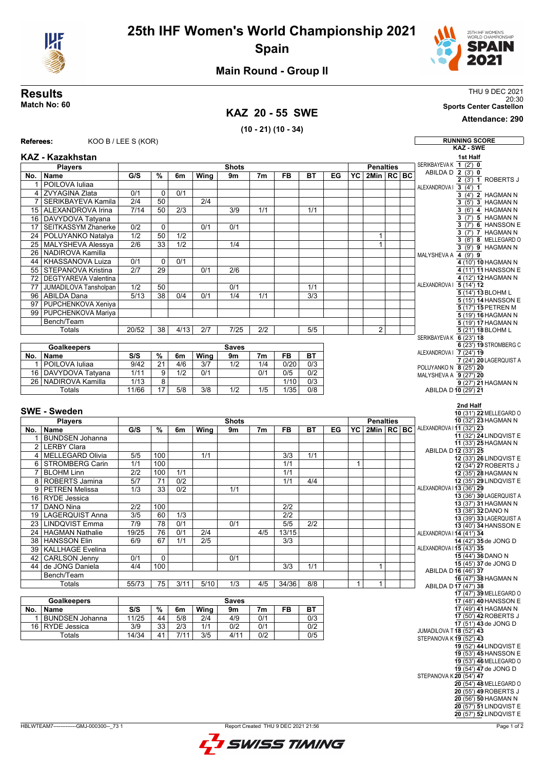



## **Main Round - Group II**

## **KAZ 20 - 55 SWE**

**(10 - 21) (10 - 34)**

**Results** THU 9 DEC 2021 20:30 **Match No: 60 Sports Center Castellon**

**Attendance: 290**

| <b>Referees:</b> |                            | KOO B / LEE S (KOR) |               |                  |                  |                    |                |                  |                  |    |                  |                         |  |  | <b>RUNNING SCORE</b>                             |                                                  |
|------------------|----------------------------|---------------------|---------------|------------------|------------------|--------------------|----------------|------------------|------------------|----|------------------|-------------------------|--|--|--------------------------------------------------|--------------------------------------------------|
|                  |                            |                     |               |                  |                  |                    |                |                  |                  |    |                  |                         |  |  |                                                  | <b>KAZ - SWE</b>                                 |
|                  | <b>KAZ - Kazakhstan</b>    |                     |               |                  |                  |                    |                |                  |                  |    |                  |                         |  |  |                                                  | 1st Half                                         |
| <b>Players</b>   |                            |                     |               |                  |                  | <b>Shots</b>       |                |                  |                  |    | <b>Penalties</b> |                         |  |  | SERIKBAYEVA K 1 (2') 0                           |                                                  |
| No.              | Name                       | G/S                 | %             | 6m               | Wing             | 9m                 | 7 <sub>m</sub> | FB               | ВT               | EG | YC I             | $2$ Min $RC$ BC         |  |  | ABILDA D 2 (3') 0                                | 2 (3') 1 ROBERTS J                               |
| $\mathbf{1}$     | POILOVA Iuliaa             |                     |               |                  |                  |                    |                |                  |                  |    |                  |                         |  |  | ALEXANDROVAI 3 (4') 1                            |                                                  |
|                  | 4 ZVYAGINA Zlata           | 0/1                 | $\mathbf 0$   | 0/1              |                  |                    |                |                  |                  |    |                  |                         |  |  |                                                  | $3(4)$ 2 HAGMAN N                                |
| $\overline{7}$   | SERIKBAYEVA Kamila         | 2/4                 | 50            |                  | 2/4              |                    |                |                  |                  |    |                  |                         |  |  |                                                  | 3 (5') 3 HAGMAN N                                |
|                  | 15   ALEXANDROVA Irina     | 7/14                | 50            | 2/3              |                  | 3/9                | 1/1            |                  | 1/1              |    |                  |                         |  |  |                                                  | 3 (6') 4 HAGMAN N                                |
|                  | 16 DAVYDOVA Tatyana        |                     |               |                  |                  |                    |                |                  |                  |    |                  |                         |  |  |                                                  | 3 (7') 5 HAGMAN N                                |
| 17 <sup>1</sup>  | <b>SEITKASSYM Zhanerke</b> | $\overline{0/2}$    | 0             |                  | 0/1              | 0/1                |                |                  |                  |    |                  |                         |  |  |                                                  | 3 (7') 6 HANSSON E                               |
|                  | 24 POLUYANKO Natalya       | $\overline{1/2}$    | 50            | $\overline{1/2}$ |                  |                    |                |                  |                  |    |                  | 1                       |  |  |                                                  | 3 (7') 7 HAGMAN N                                |
|                  | 25 MALYSHEVA Alessya       | $\overline{2/6}$    | 33            | $\overline{1/2}$ |                  | 1/4                |                |                  |                  |    |                  | 1                       |  |  |                                                  | 3 (8') 8 MELLEGARD O                             |
|                  | 26 NADIROVA Kamilla        |                     |               |                  |                  |                    |                |                  |                  |    |                  |                         |  |  | MALYSHEVA A 4 (9') 9                             | 3 (9') 9 HAGMAN N                                |
|                  | 44   KHASSANOVA Luiza      | 0/1                 | 0             | 0/1              |                  |                    |                |                  |                  |    |                  |                         |  |  |                                                  | 4 (10') 10 HAGMAN N                              |
|                  | 55 STEPANOVA Kristina      | 2/7                 | 29            |                  | 0/1              | 2/6                |                |                  |                  |    |                  |                         |  |  |                                                  | 4 (11') 11 HANSSON E                             |
|                  | 72 DEGTYAREVA Valentina    |                     |               |                  |                  |                    |                |                  |                  |    |                  |                         |  |  |                                                  | 4 (12') 12 HAGMAN N                              |
| $\overline{77}$  | JUMADILOVA Tansholpan      | 1/2                 | 50            |                  |                  | 0/1                |                |                  | 1/1              |    |                  |                         |  |  | ALEXANDROVA   5 (14') 12                         |                                                  |
| 96               | <b>ABILDA Dana</b>         | 5/13                | 38            | 0/4              | 0/1              | 1/4                | 1/1            |                  | 3/3              |    |                  |                         |  |  |                                                  | 5 (14') 13 BLOHM L                               |
| 97               | PUPCHENKOVA Xeniya         |                     |               |                  |                  |                    |                |                  |                  |    |                  |                         |  |  |                                                  | 5 (15') 14 HANSSON E                             |
|                  | 99 PUPCHENKOVA Mariya      |                     |               |                  |                  |                    |                |                  |                  |    |                  |                         |  |  |                                                  | 5 (17') 15 PETREN M                              |
|                  | Bench/Team                 |                     |               |                  |                  |                    |                |                  |                  |    |                  |                         |  |  |                                                  | 5 (19') 16 HAGMAN N<br>5 (19') 17 HAGMAN N       |
|                  | Totals                     | 20/52               | 38            | 4/13             | 2/7              | 7/25               | 2/2            |                  | 5/5              |    |                  | 2                       |  |  |                                                  | 5 (21') 18 BLOHM L                               |
|                  |                            |                     |               |                  |                  |                    |                |                  |                  |    |                  |                         |  |  | SERIKBAYEVA K 6 (23') 18                         |                                                  |
|                  | <b>Goalkeepers</b>         | <b>Saves</b>        |               |                  |                  |                    |                |                  |                  |    |                  |                         |  |  |                                                  | 6 (23') 19 STROMBERG C                           |
| No.              | Name                       | S/S                 | %             | 6m               | Wing             | 9m                 | 7 <sub>m</sub> | FB               | <b>BT</b>        |    |                  |                         |  |  | ALEXANDROVA   7 (24') 19                         |                                                  |
| 1                | POILOVA Iuliaa             | 9/42                | 21            | 4/6              | 3/7              | 1/2                | 1/4            | 0/20             | 0/3              |    |                  |                         |  |  |                                                  | 7 (24') 20 LAGERQUIST A                          |
| 16               | DAVYDOVA Tatyana           | 1/11                | 9             | 1/2              | 0/1              |                    | 0/1            | 0/5              | $\overline{0/2}$ |    |                  |                         |  |  | POLUYANKO N 8 (25') 20<br>MALYSHEVA A 9 (27') 20 |                                                  |
|                  | 26 NADIROVA Kamilla        | 1/13                | 8             |                  |                  |                    |                | 1/10             | $\overline{0/3}$ |    |                  |                         |  |  |                                                  | $9(27)$ 21 HAGMAN N                              |
|                  | <b>Totals</b>              | 11/66               | 17            | 5/8              | $\overline{3/8}$ | 1/2                | 1/5            | 1/35             | $\overline{0/8}$ |    |                  |                         |  |  | ABILDA D 10 (29') 21                             |                                                  |
|                  |                            |                     |               |                  |                  |                    |                |                  |                  |    |                  |                         |  |  |                                                  |                                                  |
|                  | <b>SWE - Sweden</b>        |                     |               |                  |                  |                    |                |                  |                  |    |                  |                         |  |  |                                                  | 2nd Half                                         |
|                  |                            |                     |               |                  |                  |                    |                |                  |                  |    |                  | 10 (31') 22 MELLEGARD O |  |  |                                                  |                                                  |
|                  | <b>Players</b>             |                     |               |                  |                  | <b>Shots</b>       |                |                  |                  |    |                  | <b>Penalties</b>        |  |  | ALEXANDROVA I11 (32') 23                         | 10 (32') 23 HAGMAN N                             |
| No.              | Name                       | G/S                 | $\frac{9}{6}$ | 6m               | Wing             | 9m                 | 7 <sub>m</sub> | FB               | <b>BT</b>        | EG | $\overline{Y}C$  | 2Min   RC   BC          |  |  |                                                  | 11 (32') 24 LINDQVIST E                          |
| 1 <sup>1</sup>   | <b>BUNDSEN Johanna</b>     |                     |               |                  |                  |                    |                |                  |                  |    |                  |                         |  |  |                                                  | 11 (33') 25 HAGMAN N                             |
|                  | 2 LERBY Clara              |                     |               |                  |                  |                    |                |                  |                  |    |                  |                         |  |  | ABILDA D 12 (33') 25                             |                                                  |
| 4                | <b>MELLEGARD Olivia</b>    | 5/5                 | 100           |                  | 1/1              |                    |                | 3/3              | 1/1              |    |                  |                         |  |  |                                                  | 12 (33') 26 LINDQVIST E                          |
|                  | 6 STROMBERG Carin          | 1/1                 | 100           |                  |                  |                    |                | 1/1              |                  |    | $\mathbf{1}$     |                         |  |  |                                                  | 12 (34') 27 ROBERTS J                            |
| $\overline{7}$   | <b>BLOHM Linn</b>          | 2/2                 | 100           | 1/1              |                  |                    |                | 1/1              |                  |    |                  |                         |  |  |                                                  | 12 (35') 28 HAGMAN N                             |
|                  | 8 ROBERTS Jamina           | 5/7                 | 71            | 0/2              |                  |                    |                | 1/1              | 4/4              |    |                  |                         |  |  |                                                  | 12 (35') 29 LINDQVIST E                          |
|                  | 9 PETREN Melissa           | 1/3                 | 33            | 0/2              |                  | 1/1                |                |                  |                  |    |                  |                         |  |  | ALEXANDROVA I 13 (36') 29                        | 13 (36') 30 LAGERQUIST A                         |
|                  | 16 RYDE Jessica            |                     |               |                  |                  |                    |                |                  |                  |    |                  |                         |  |  |                                                  | 13 (37') 31 HAGMAN N                             |
| 17               | <b>DANO Nina</b>           | 2/2                 | 100           |                  |                  |                    |                | 2/2              |                  |    |                  |                         |  |  |                                                  | 13 (38') 32 DANO N                               |
| 19               | <b>LAGERQUIST Anna</b>     | 3/5                 | 60            | 1/3              |                  |                    |                | $\overline{2/2}$ |                  |    |                  |                         |  |  |                                                  | 13 (39') 33 LAGERQUIST A                         |
| 23               | <b>LINDQVIST Emma</b>      | 7/9                 | 78            | 0/1              |                  | 0/1                |                | 5/5              | 2/2              |    |                  |                         |  |  |                                                  | 13 (40') 34 HANSSON E                            |
| 24               | <b>HAGMAN Nathalie</b>     | 19/25               | 76            | 0/1              | 2/4              |                    | 4/5            | 13/15            |                  |    |                  |                         |  |  | ALEXANDROVA   14 (41') 34                        |                                                  |
|                  | 38 HANSSON Elin            | 6/9                 | 67            | $\overline{1/1}$ | $\overline{2/5}$ |                    |                | $\overline{3/3}$ |                  |    |                  |                         |  |  |                                                  | 14 (42') 35 de JONG D                            |
|                  | 39 KALLHAGE Evelina        |                     |               |                  |                  |                    |                |                  |                  |    |                  |                         |  |  | ALEXANDROVA   15 (43') 35                        |                                                  |
|                  | 42   CARLSON Jenny         | 0/1                 | 0             |                  |                  | 0/1                |                |                  |                  |    |                  |                         |  |  |                                                  | 15 (44') 36 DANO N<br>15 (45') 37 de JONG D      |
|                  | 44 de JONG Daniela         | 4/4                 | 100           |                  |                  |                    |                | $\overline{3/3}$ | 1/1              |    |                  | 1                       |  |  | ABILDA D 16 (46') 37                             |                                                  |
|                  | Bench/Team                 |                     |               |                  |                  |                    |                |                  |                  |    |                  |                         |  |  |                                                  | 16 (47') 38 HAGMAN N                             |
|                  | Totals                     | 55/73               | 75            | 3/11             | 5/10             | 1/3                | 4/5            | 34/36            | 8/8              |    | $\mathbf{1}$     | $\mathbf{1}$            |  |  |                                                  | ABILDA D 17 (47') 38                             |
|                  |                            |                     |               |                  |                  |                    |                |                  |                  |    |                  |                         |  |  |                                                  | 17 (47') 39 MELLEGARD O                          |
| No.              | <b>Goalkeepers</b><br>Name | S/S                 | $\%$          | 6m               | Wing             | <b>Saves</b><br>9m | 7 <sub>m</sub> | FB               | <b>BT</b>        |    |                  |                         |  |  |                                                  | 17 (48') 40 HANSSON E<br>17 (49') 41 HAGMAN N    |
| $\mathbf{1}$     | <b>BUNDSEN Johanna</b>     | 11/25               | 44            | $5/8$            | 2/4              | 4/9                | 0/1            |                  | 0/3              |    |                  |                         |  |  |                                                  | 17 (50') 42 ROBERTS J                            |
|                  | 16 RYDE Jessica            | 3/9                 | 33            | 2/3              | 1/1              | 0/2                | 0/1            |                  | 0/2              |    |                  |                         |  |  |                                                  | 17 (51') 43 de JONG D                            |
|                  | Totals                     | 14/34               | 41            | 7/11             | 3/5              | 4/11               | 0/2            |                  | 0/5              |    |                  |                         |  |  | JUMADILOVA T18 (52') 43                          |                                                  |
|                  |                            |                     |               |                  |                  |                    |                |                  |                  |    |                  |                         |  |  | STEPANOVA K19 (52') 43                           |                                                  |
|                  |                            |                     |               |                  |                  |                    |                |                  |                  |    |                  |                         |  |  |                                                  | 19 (52') 44 LINDQVIST E<br>19 (53') 45 HANSSON E |
|                  |                            |                     |               |                  |                  |                    |                |                  |                  |    |                  |                         |  |  |                                                  | 19 (53') 46 MELLEGARD O                          |
|                  |                            |                     |               |                  |                  |                    |                |                  |                  |    |                  |                         |  |  |                                                  | 19 (54') 47 de JONG D                            |
|                  |                            |                     |               |                  |                  |                    |                |                  |                  |    |                  |                         |  |  | STEPANOVA K20 (54') 47                           |                                                  |
|                  |                            |                     |               |                  |                  |                    |                |                  |                  |    |                  |                         |  |  |                                                  | 20 (54') 48 MELLEGARD O                          |
|                  |                            |                     |               |                  |                  |                    |                |                  |                  |    |                  |                         |  |  |                                                  | 20 (55') 49 ROBERTS J                            |
|                  |                            |                     |               |                  |                  |                    |                |                  |                  |    |                  |                         |  |  |                                                  | 20 (56') 50 HAGMAN N                             |
|                  |                            |                     |               |                  |                  |                    |                |                  |                  |    |                  |                         |  |  |                                                  | 20 (57') 51 LINDQVIST E                          |
|                  |                            |                     |               |                  |                  |                    |                |                  |                  |    |                  |                         |  |  |                                                  | 20 (57') 52 LINDQVIST E                          |